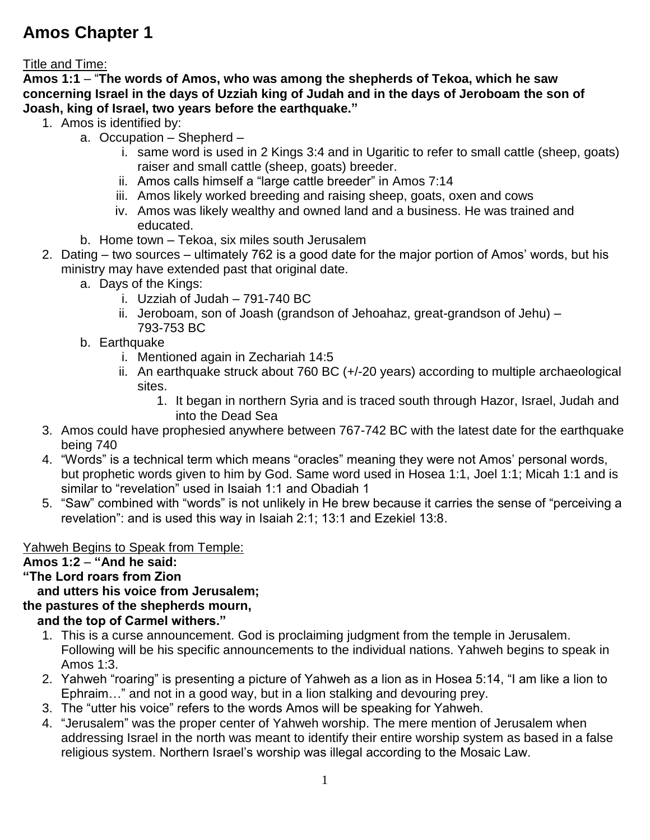# **Amos Chapter 1**

Title and Time:

**Amos 1:1** – "**The words of Amos, who was among the shepherds of Tekoa, which he saw concerning Israel in the days of Uzziah king of Judah and in the days of Jeroboam the son of Joash, king of Israel, two years before the earthquake."**

- 1. Amos is identified by:
	- a. Occupation Shepherd
		- i. same word is used in 2 Kings 3:4 and in Ugaritic to refer to small cattle (sheep, goats) raiser and small cattle (sheep, goats) breeder.
		- ii. Amos calls himself a "large cattle breeder" in Amos 7:14
		- iii. Amos likely worked breeding and raising sheep, goats, oxen and cows
		- iv. Amos was likely wealthy and owned land and a business. He was trained and educated.
	- b. Home town Tekoa, six miles south Jerusalem
- 2. Dating two sources ultimately 762 is a good date for the major portion of Amos' words, but his ministry may have extended past that original date.
	- a. Days of the Kings:
		- i. Uzziah of Judah 791-740 BC
		- ii. Jeroboam, son of Joash (grandson of Jehoahaz, great-grandson of Jehu) 793-753 BC
	- b. Earthquake
		- i. Mentioned again in Zechariah 14:5
		- ii. An earthquake struck about 760 BC (+/-20 years) according to multiple archaeological sites.
			- 1. It began in northern Syria and is traced south through Hazor, Israel, Judah and into the Dead Sea
- 3. Amos could have prophesied anywhere between 767-742 BC with the latest date for the earthquake being 740
- 4. "Words" is a technical term which means "oracles" meaning they were not Amos' personal words, but prophetic words given to him by God. Same word used in Hosea 1:1, Joel 1:1; Micah 1:1 and is similar to "revelation" used in Isaiah 1:1 and Obadiah 1
- 5. "Saw" combined with "words" is not unlikely in He brew because it carries the sense of "perceiving a revelation": and is used this way in Isaiah 2:1; 13:1 and Ezekiel 13:8.

### Yahweh Begins to Speak from Temple:

### **Amos 1:2** – **"And he said:**

**"The Lord roars from Zion**

#### **and utters his voice from Jerusalem; the pastures of the shepherds mourn,**

## **and the top of Carmel withers."**

- 1. This is a curse announcement. God is proclaiming judgment from the temple in Jerusalem. Following will be his specific announcements to the individual nations. Yahweh begins to speak in Amos 1:3.
- 2. Yahweh "roaring" is presenting a picture of Yahweh as a lion as in Hosea 5:14, "I am like a lion to Ephraim…" and not in a good way, but in a lion stalking and devouring prey.
- 3. The "utter his voice" refers to the words Amos will be speaking for Yahweh.
- 4. "Jerusalem" was the proper center of Yahweh worship. The mere mention of Jerusalem when addressing Israel in the north was meant to identify their entire worship system as based in a false religious system. Northern Israel's worship was illegal according to the Mosaic Law.